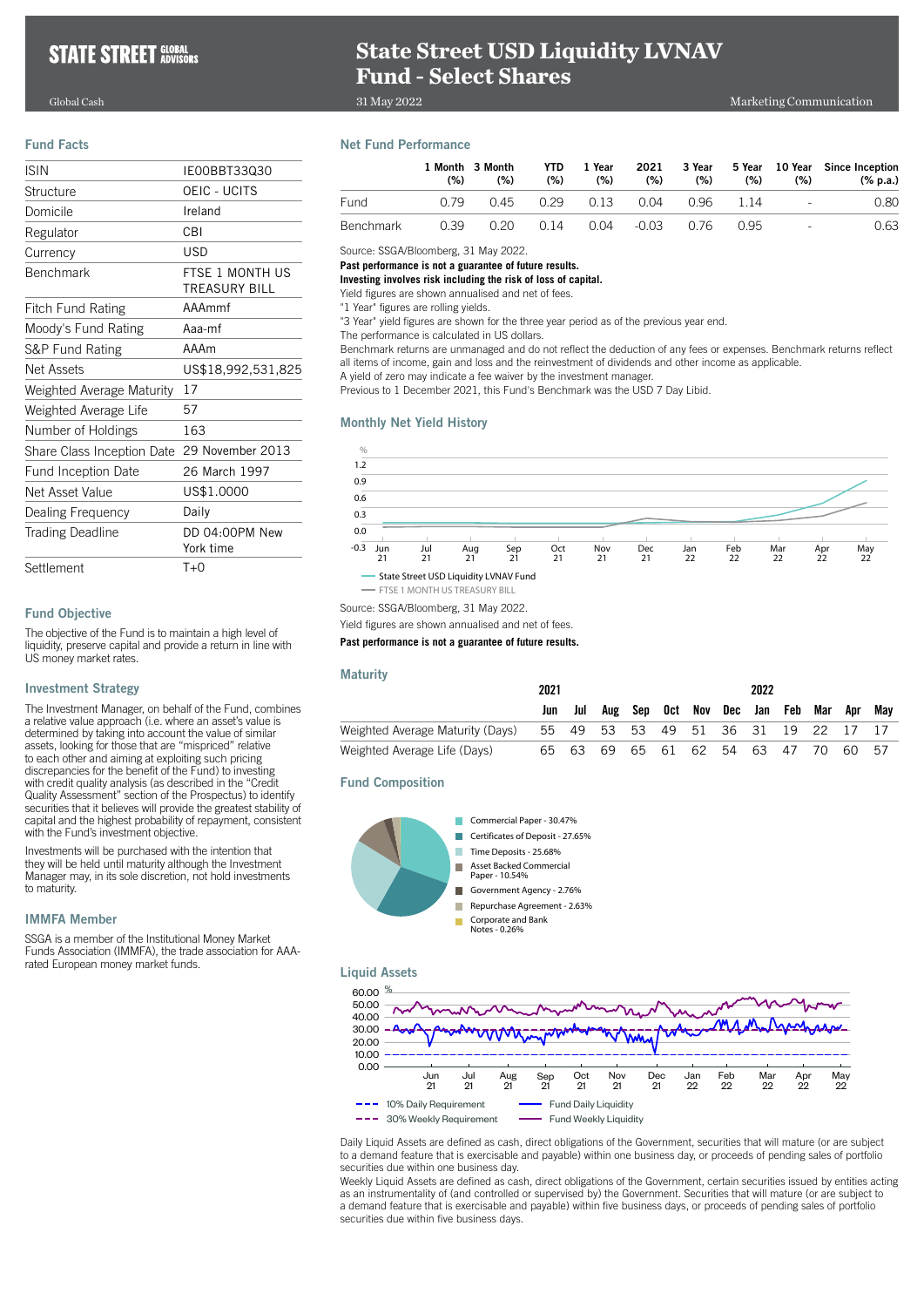# **State Street USD Liquidity LVNAV Fund - Select Shares**

31 May 2022

Global Cash Marketing Communication

## Fund Facts

| <b>ISIN</b>                | IE00BBT33030                     |
|----------------------------|----------------------------------|
| Structure                  | OEIC - UCITS                     |
| Domicile                   | Ireland                          |
| Regulator                  | CBI                              |
| Currency                   | <b>USD</b>                       |
| <b>Benchmark</b>           | FTSF 1 MONTH US<br>TREASURY BILL |
| Fitch Fund Rating          | AAAmmf                           |
| Moody's Fund Rating        | Aaa-mf                           |
| S&P Fund Rating            | AAAm                             |
| Net Assets                 | US\$18,992,531,825               |
| Weighted Average Maturity  | 17                               |
| Weighted Average Life      | 57                               |
| Number of Holdings         | 163                              |
| Share Class Inception Date | 29 November 2013                 |
| <b>Fund Inception Date</b> | 26 March 1997                    |
| Net Asset Value            | US\$1.0000                       |
| Dealing Frequency          | Daily                            |
| <b>Trading Deadline</b>    | DD 04:00PM New<br>York time      |
| Settlement                 | $T+0$                            |

## Fund Objective

The objective of the Fund is to maintain a high level of liquidity, preserve capital and provide a return in line with US money market rates.

## Investment Strategy

The Investment Manager, on behalf of the Fund, combines a relative value approach (i.e. where an asset's value is determined by taking into account the value of similar assets, looking for those that are "mispriced" relative to each other and aiming at exploiting such pricing discrepancies for the benefit of the Fund) to investing with credit quality analysis (as described in the "Credit Quality Assessment" section of the Prospectus) to identify securities that it believes will provide the greatest stability of capital and the highest probability of repayment, consistent with the Fund's investment objective.

Investments will be purchased with the intention that they will be held until maturity although the Investment Manager may, in its sole discretion, not hold investments to maturity.

## IMMFA Member

SSGA is a member of the Institutional Money Market Funds Association (IMMFA), the trade association for AAArated European money market funds.

## Net Fund Performance

|                  | (% ) | 1 Month 3 Month<br>(%) | YTD.<br>(%) | 1 Year<br>(%)                       | 2021<br>(%) | (%)     | (%) | (% )              | 3 Year 5 Year 10 Year Since Inception<br>(% p.a.) |
|------------------|------|------------------------|-------------|-------------------------------------|-------------|---------|-----|-------------------|---------------------------------------------------|
| <b>Fund</b>      | O 79 |                        |             | 0.45 0.29 0.13 0.04                 |             | 096 114 |     | <b>Contractor</b> | 0.80                                              |
| <b>Benchmark</b> | 0.39 |                        |             | 0.20  0.14  0.04  -0.03  0.76  0.95 |             |         |     | $\sim$            | 0.63                                              |

Source: SSGA/Bloomberg, 31 May 2022.

**Past performance is not a guarantee of future results.**

**Investing involves risk including the risk of loss of capital.**

Yield figures are shown annualised and net of fees.

"1 Year" figures are rolling yields.

"3 Year" yield figures are shown for the three year period as of the previous year end.

The performance is calculated in US dollars.

Benchmark returns are unmanaged and do not reflect the deduction of any fees or expenses. Benchmark returns reflect all items of income, gain and loss and the reinvestment of dividends and other income as applicable.

A yield of zero may indicate a fee waiver by the investment manager.

Previous to 1 December 2021, this Fund's Benchmark was the USD 7 Day Libid.

## Monthly Net Yield History



Source: SSGA/Bloomberg, 31 May 2022. Yield figures are shown annualised and net of fees.

## **Past performance is not a guarantee of future results.**

### **Maturity**

|                                  | 2021 |       |                                  | 2022 |                             |  |  |  |     |       |     |
|----------------------------------|------|-------|----------------------------------|------|-----------------------------|--|--|--|-----|-------|-----|
|                                  |      | Jul   |                                  |      | Aug Sep Oct Nov Dec Jan Feb |  |  |  | Mar | Apr   | Mav |
| Weighted Average Maturity (Days) |      |       | 55 49 53 53 49 51 36 31 19 22 17 |      |                             |  |  |  |     |       |     |
| Weighted Average Life (Days)     |      | 65 63 | 69                               |      | 65 61 62 54 63 47           |  |  |  | 70  | 60 57 |     |

Fund Composition



## Liquid Assets



Daily Liquid Assets are defined as cash, direct obligations of the Government, securities that will mature (or are subject to a demand feature that is exercisable and payable) within one business day, or proceeds of pending sales of portfolio securities due within one business day.

Weekly Liquid Assets are defined as cash, direct obligations of the Government, certain securities issued by entities acting as an instrumentality of (and controlled or supervised by) the Government. Securities that will mature (or are subject to a demand feature that is exercisable and payable) within five business days, or proceeds of pending sales of portfolio securities due within five business days.